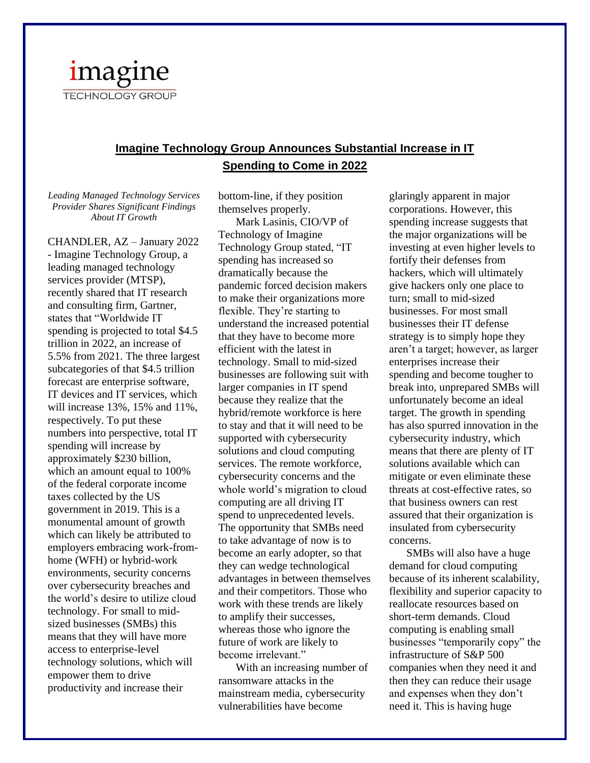

## **Imagine Technology Group Announces Substantial Increase in IT Spending to Come in 2022**

*Leading Managed Technology Services Provider Shares Significant Findings About IT Growth*

CHANDLER, AZ – January 2022 - Imagine Technology Group, a leading managed technology services provider (MTSP), recently shared that IT research and consulting firm, Gartner, states that "Worldwide IT spending is projected to total \$4.5 trillion in 2022, an increase of 5.5% from 2021. The three largest subcategories of that \$4.5 trillion forecast are enterprise software, IT devices and IT services, which will increase 13%, 15% and 11%, respectively. To put these numbers into perspective, total IT spending will increase by approximately \$230 billion, which an amount equal to 100% of the federal corporate income taxes collected by the US government in 2019. This is a monumental amount of growth which can likely be attributed to employers embracing work-fromhome (WFH) or hybrid-work environments, security concerns over cybersecurity breaches and the world's desire to utilize cloud technology. For small to midsized businesses (SMBs) this means that they will have more access to enterprise-level technology solutions, which will empower them to drive productivity and increase their

bottom-line, if they position themselves properly.

Mark Lasinis, CIO/VP of Technology of Imagine Technology Group stated, "IT spending has increased so dramatically because the pandemic forced decision makers to make their organizations more flexible. They're starting to understand the increased potential that they have to become more efficient with the latest in technology. Small to mid-sized businesses are following suit with larger companies in IT spend because they realize that the hybrid/remote workforce is here to stay and that it will need to be supported with cybersecurity solutions and cloud computing services. The remote workforce, cybersecurity concerns and the whole world's migration to cloud computing are all driving IT spend to unprecedented levels. The opportunity that SMBs need to take advantage of now is to become an early adopter, so that they can wedge technological advantages in between themselves and their competitors. Those who work with these trends are likely to amplify their successes, whereas those who ignore the future of work are likely to become irrelevant."

With an increasing number of ransomware attacks in the mainstream media, cybersecurity vulnerabilities have become

glaringly apparent in major corporations. However, this spending increase suggests that the major organizations will be investing at even higher levels to fortify their defenses from hackers, which will ultimately give hackers only one place to turn; small to mid-sized businesses. For most small businesses their IT defense strategy is to simply hope they aren't a target; however, as larger enterprises increase their spending and become tougher to break into, unprepared SMBs will unfortunately become an ideal target. The growth in spending has also spurred innovation in the cybersecurity industry, which means that there are plenty of IT solutions available which can mitigate or even eliminate these threats at cost-effective rates, so that business owners can rest assured that their organization is insulated from cybersecurity concerns.

SMBs will also have a huge demand for cloud computing because of its inherent scalability, flexibility and superior capacity to reallocate resources based on short-term demands. Cloud computing is enabling small businesses "temporarily copy" the infrastructure of S&P 500 companies when they need it and then they can reduce their usage and expenses when they don't need it. This is having huge